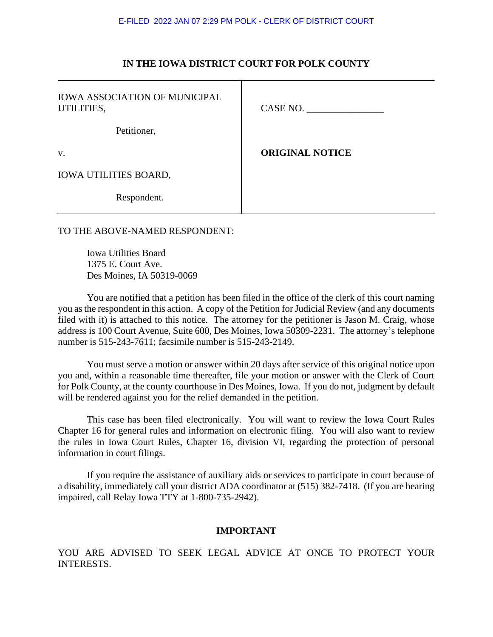#### E-FILED 2022 JAN 07 2:29 PM POLK - CLERK OF DISTRICT COURT

## **IN THE IOWA DISTRICT COURT FOR POLK COUNTY**

| <b>IOWA ASSOCIATION OF MUNICIPAL</b><br>UTILITIES, | CASE NO.               |
|----------------------------------------------------|------------------------|
| Petitioner,                                        |                        |
| V.                                                 | <b>ORIGINAL NOTICE</b> |
| <b>IOWA UTILITIES BOARD,</b>                       |                        |
| Respondent.                                        |                        |

# TO THE ABOVE-NAMED RESPONDENT:

Iowa Utilities Board 1375 E. Court Ave. Des Moines, IA 50319-0069

You are notified that a petition has been filed in the office of the clerk of this court naming you as the respondent in this action. A copy of the Petition for Judicial Review (and any documents filed with it) is attached to this notice. The attorney for the petitioner is Jason M. Craig, whose address is 100 Court Avenue, Suite 600, Des Moines, Iowa 50309-2231. The attorney's telephone number is 515-243-7611; facsimile number is 515-243-2149.

You must serve a motion or answer within 20 days after service of this original notice upon you and, within a reasonable time thereafter, file your motion or answer with the Clerk of Court for Polk County, at the county courthouse in Des Moines, Iowa. If you do not, judgment by default will be rendered against you for the relief demanded in the petition.

This case has been filed electronically. You will want to review the Iowa Court Rules Chapter 16 for general rules and information on electronic filing. You will also want to review the rules in Iowa Court Rules, Chapter 16, division VI, regarding the protection of personal information in court filings.

If you require the assistance of auxiliary aids or services to participate in court because of a disability, immediately call your district ADA coordinator at (515) 382-7418. (If you are hearing impaired, call Relay Iowa TTY at 1-800-735-2942).

# **IMPORTANT**

YOU ARE ADVISED TO SEEK LEGAL ADVICE AT ONCE TO PROTECT YOUR INTERESTS.